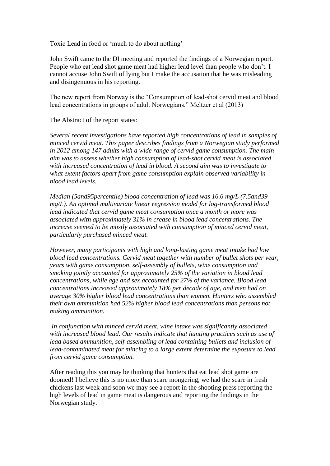Toxic Lead in food or 'much to do about nothing'

John Swift came to the DI meeting and reported the findings of a Norwegian report. People who eat lead shot game meat had higher lead level than people who don't. I cannot accuse John Swift of lying but I make the accusation that he was misleading and disingenuous in his reporting.

The new report from Norway is the "Consumption of lead-shot cervid meat and blood lead concentrations in groups of adult Norwegians." Meltzer et al (2013)

The Abstract of the report states:

*Several recent investigations have reported high concentrations of lead in samples of minced cervid meat. This paper describes findings from a Norwegian study performed in 2012 among 147 adults with a wide range of cervid game consumption. The main aim was to assess whether high consumption of lead-shot cervid meat is associated with increased concentration of lead in blood. A second aim was to investigate to what extent factors apart from game consumption explain observed variability in blood lead levels.* 

*Median (5and95percentile) blood concentration of lead was 16.6 mg/L (7.5and39 mg/L). An optimal multivariate linear regression model for log-transformed blood lead indicated that cervid game meat consumption once a month or more was associated with approximately 31% in crease in blood lead concentrations. The increase seemed to be mostly associated with consumption of minced cervid meat, particularly purchased minced meat.* 

*However, many participants with high and long-lasting game meat intake had low blood lead concentrations. Cervid meat together with number of bullet shots per year, years with game consumption, self-assembly of bullets, wine consumption and smoking jointly accounted for approximately 25% of the variation in blood lead concentrations, while age and sex accounted for 27% of the variance. Blood lead concentrations increased approximately 18% per decade of age, and men had on average 30% higher blood lead concentrations than women. Hunters who assembled their own ammunition had 52% higher blood lead concentrations than persons not making ammunition.*

*In conjunction with minced cervid meat, wine intake was significantly associated with increased blood lead. Our results indicate that hunting practices such as use of lead based ammunition, self-assembling of lead containing bullets and inclusion of lead-contaminated meat for mincing to a large extent determine the exposure to lead from cervid game consumption.*

After reading this you may be thinking that hunters that eat lead shot game are doomed! I believe this is no more than scare mongering, we had the scare in fresh chickens last week and soon we may see a report in the shooting press reporting the high levels of lead in game meat is dangerous and reporting the findings in the Norwegian study.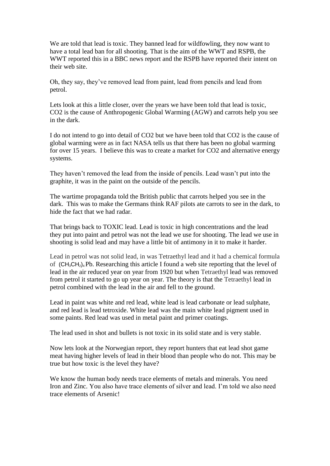We are told that lead is toxic. They banned lead for wildfowling, they now want to have a total lead ban for all shooting. That is the aim of the WWT and RSPB, the WWT reported this in a BBC news report and the RSPB have reported their intent on their web site.

Oh, they say, they've removed lead from paint, lead from pencils and lead from petrol.

Lets look at this a little closer, over the years we have been told that lead is toxic, CO2 is the cause of Anthropogenic Global Warming (AGW) and carrots help you see in the dark.

I do not intend to go into detail of CO2 but we have been told that CO2 is the cause of global warming were as in fact NASA tells us that there has been no global warming for over 15 years. I believe this was to create a market for CO2 and alternative energy systems.

They haven't removed the lead from the inside of pencils. Lead wasn't put into the graphite, it was in the paint on the outside of the pencils.

The wartime propaganda told the British public that carrots helped you see in the dark. This was to make the Germans think RAF pilots ate carrots to see in the dark, to hide the fact that we had radar.

That brings back to TOXIC lead. Lead is toxic in high concentrations and the lead they put into paint and petrol was not the lead we use for shooting. The lead we use in shooting is solid lead and may have a little bit of antimony in it to make it harder.

Lead in petrol was not solid lead, in was Tetraethyl lead and it had a chemical formula of  $(CH_3CH_2)_4$  $(CH_3CH_2)_4$  Pb. Researching this article I found a web site reporting that the level of lead in the air reduced year on year from 1920 but when Tetraethyl lead was removed from petrol it started to go up year on year. The theory is that the Tetraethyl lead in petrol combined with the lead in the air and fell to the ground.

Lead in paint was white and red lead, white lead is lead carbonate or lead sulphate, and red lead is lead tetroxide. White lead was the main white lead pigment used in some paints. Red lead was used in metal paint and primer coatings.

The lead used in shot and bullets is not toxic in its solid state and is very stable.

Now lets look at the Norwegian report, they report hunters that eat lead shot game meat having higher levels of lead in their blood than people who do not. This may be true but how toxic is the level they have?

We know the human body needs trace elements of metals and minerals. You need Iron and Zinc. You also have trace elements of silver and lead. I'm told we also need trace elements of Arsenic!